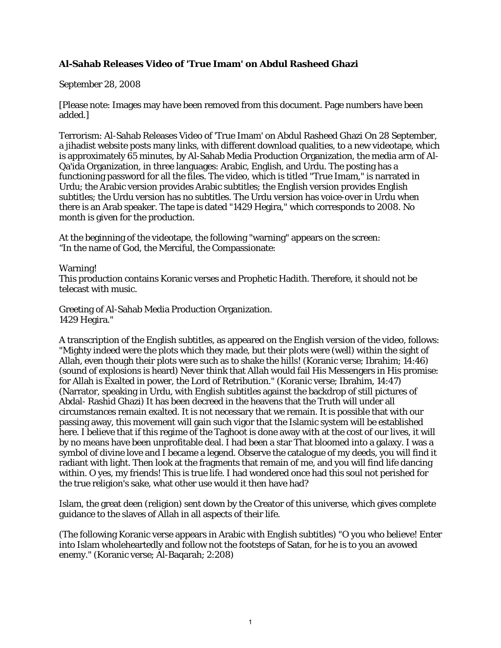## **Al-Sahab Releases Video of 'True Imam' on Abdul Rasheed Ghazi**

## September 28, 2008

[Please note: Images may have been removed from this document. Page numbers have been added.]

Terrorism: Al-Sahab Releases Video of 'True Imam' on Abdul Rasheed Ghazi On 28 September, a jihadist website posts many links, with different download qualities, to a new videotape, which is approximately 65 minutes, by Al-Sahab Media Production Organization, the media arm of Al-Qa'ida Organization, in three languages: Arabic, English, and Urdu. The posting has a functioning password for all the files. The video, which is titled "True Imam," is narrated in Urdu; the Arabic version provides Arabic subtitles; the English version provides English subtitles; the Urdu version has no subtitles. The Urdu version has voice-over in Urdu when there is an Arab speaker. The tape is dated "1429 Hegira," which corresponds to 2008. No month is given for the production.

At the beginning of the videotape, the following "warning" appears on the screen: "In the name of God, the Merciful, the Compassionate:

Warning!

This production contains Koranic verses and Prophetic Hadith. Therefore, it should not be telecast with music.

Greeting of Al-Sahab Media Production Organization. 1429 Hegira."

A transcription of the English subtitles, as appeared on the English version of the video, follows: "Mighty indeed were the plots which they made, but their plots were (well) within the sight of Allah, even though their plots were such as to shake the hills! (Koranic verse; Ibrahim; 14:46) (sound of explosions is heard) Never think that Allah would fail His Messengers in His promise: for Allah is Exalted in power, the Lord of Retribution." (Koranic verse; Ibrahim, 14:47) (Narrator, speaking in Urdu, with English subtitles against the backdrop of still pictures of Abdal- Rashid Ghazi) It has been decreed in the heavens that the Truth will under all circumstances remain exalted. It is not necessary that we remain. It is possible that with our passing away, this movement will gain such vigor that the Islamic system will be established here. I believe that if this regime of the Taghoot is done away with at the cost of our lives, it will by no means have been unprofitable deal. I had been a star That bloomed into a galaxy. I was a symbol of divine love and I became a legend. Observe the catalogue of my deeds, you will find it radiant with light. Then look at the fragments that remain of me, and you will find life dancing within. O yes, my friends! This is true life. I had wondered once had this soul not perished for the true religion's sake, what other use would it then have had?

Islam, the great deen (religion) sent down by the Creator of this universe, which gives complete guidance to the slaves of Allah in all aspects of their life.

(The following Koranic verse appears in Arabic with English subtitles) "O you who believe! Enter into Islam wholeheartedly and follow not the footsteps of Satan, for he is to you an avowed enemy." (Koranic verse; Al-Baqarah; 2:208)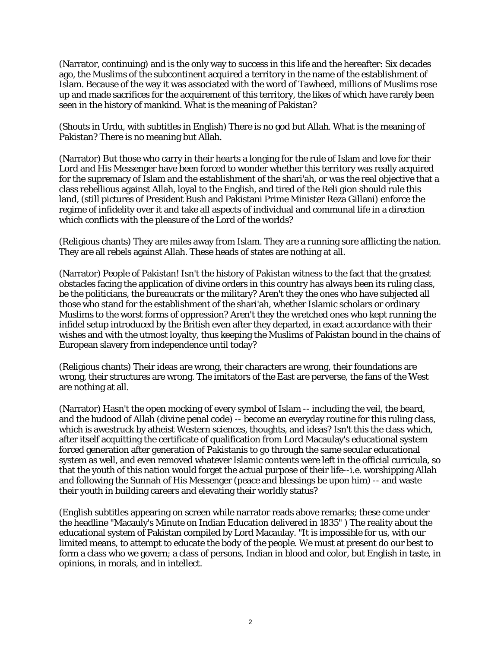(Narrator, continuing) and is the only way to success in this life and the hereafter: Six decades ago, the Muslims of the subcontinent acquired a territory in the name of the establishment of Islam. Because of the way it was associated with the word of Tawheed, millions of Muslims rose up and made sacrifices for the acquirement of this territory, the likes of which have rarely been seen in the history of mankind. What is the meaning of Pakistan?

(Shouts in Urdu, with subtitles in English) There is no god but Allah. What is the meaning of Pakistan? There is no meaning but Allah.

(Narrator) But those who carry in their hearts a longing for the rule of Islam and love for their Lord and His Messenger have been forced to wonder whether this territory was really acquired for the supremacy of Islam and the establishment of the shari'ah, or was the real objective that a class rebellious against Allah, loyal to the English, and tired of the Reli gion should rule this land, (still pictures of President Bush and Pakistani Prime Minister Reza Gillani) enforce the regime of infidelity over it and take all aspects of individual and communal life in a direction which conflicts with the pleasure of the Lord of the worlds?

(Religious chants) They are miles away from Islam. They are a running sore afflicting the nation. They are all rebels against Allah. These heads of states are nothing at all.

(Narrator) People of Pakistan! Isn't the history of Pakistan witness to the fact that the greatest obstacles facing the application of divine orders in this country has always been its ruling class, be the politicians, the bureaucrats or the military? Aren't they the ones who have subjected all those who stand for the establishment of the shari'ah, whether Islamic scholars or ordinary Muslims to the worst forms of oppression? Aren't they the wretched ones who kept running the infidel setup introduced by the British even after they departed, in exact accordance with their wishes and with the utmost loyalty, thus keeping the Muslims of Pakistan bound in the chains of European slavery from independence until today?

(Religious chants) Their ideas are wrong, their characters are wrong, their foundations are wrong, their structures are wrong. The imitators of the East are perverse, the fans of the West are nothing at all.

(Narrator) Hasn't the open mocking of every symbol of Islam -- including the veil, the beard, and the hudood of Allah (divine penal code) -- become an everyday routine for this ruling class, which is awestruck by atheist Western sciences, thoughts, and ideas? Isn't this the class which, after itself acquitting the certificate of qualification from Lord Macaulay's educational system forced generation after generation of Pakistanis to go through the same secular educational system as well, and even removed whatever Islamic contents were left in the official curricula, so that the youth of this nation would forget the actual purpose of their life--i.e. worshipping Allah and following the Sunnah of His Messenger (peace and blessings be upon him) -- and waste their youth in building careers and elevating their worldly status?

(English subtitles appearing on screen while narrator reads above remarks; these come under the headline "Macauly's Minute on Indian Education delivered in 1835" ) The reality about the educational system of Pakistan compiled by Lord Macaulay. "It is impossible for us, with our limited means, to attempt to educate the body of the people. We must at present do our best to form a class who we govern; a class of persons, Indian in blood and color, but English in taste, in opinions, in morals, and in intellect.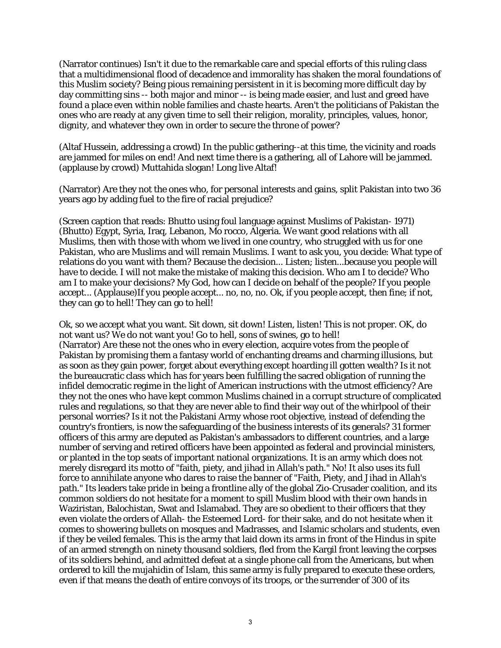(Narrator continues) Isn't it due to the remarkable care and special efforts of this ruling class that a multidimensional flood of decadence and immorality has shaken the moral foundations of this Muslim society? Being pious remaining persistent in it is becoming more difficult day by day committing sins -- both major and minor -- is being made easier, and lust and greed have found a place even within noble families and chaste hearts. Aren't the politicians of Pakistan the ones who are ready at any given time to sell their religion, morality, principles, values, honor, dignity, and whatever they own in order to secure the throne of power?

(Altaf Hussein, addressing a crowd) In the public gathering--at this time, the vicinity and roads are jammed for miles on end! And next time there is a gathering, all of Lahore will be jammed. (applause by crowd) Muttahida slogan! Long live Altaf!

(Narrator) Are they not the ones who, for personal interests and gains, split Pakistan into two 36 years ago by adding fuel to the fire of racial prejudice?

(Screen caption that reads: Bhutto using foul language against Muslims of Pakistan- 1971) (Bhutto) Egypt, Syria, Iraq, Lebanon, Mo rocco, Algeria. We want good relations with all Muslims, then with those with whom we lived in one country, who struggled with us for one Pakistan, who are Muslims and will remain Muslims. I want to ask you, you decide: What type of relations do you want with them? Because the decision... Listen; listen...because you people will have to decide. I will not make the mistake of making this decision. Who am I to decide? Who am I to make your decisions? My God, how can I decide on behalf of the people? If you people accept... (Applause)If you people accept... no, no, no. Ok, if you people accept, then fine; if not, they can go to hell! They can go to hell!

Ok, so we accept what you want. Sit down, sit down! Listen, listen! This is not proper. OK, do not want us? We do not want you! Go to hell, sons of swines, go to hell! (Narrator) Are these not the ones who in every election, acquire votes from the people of Pakistan by promising them a fantasy world of enchanting dreams and charming illusions, but as soon as they gain power, forget about everything except hoarding ill gotten wealth? Is it not the bureaucratic class which has for years been fulfilling the sacred obligation of running the infidel democratic regime in the light of American instructions with the utmost efficiency? Are they not the ones who have kept common Muslims chained in a corrupt structure of complicated rules and regulations, so that they are never able to find their way out of the whirlpool of their personal worries? Is it not the Pakistani Army whose root objective, instead of defending the country's frontiers, is now the safeguarding of the business interests of its generals? 31 former officers of this army are deputed as Pakistan's ambassadors to different countries, and a large number of serving and retired officers have been appointed as federal and provincial ministers, or planted in the top seats of important national organizations. It is an army which does not merely disregard its motto of "faith, piety, and jihad in Allah's path." No! It also uses its full force to annihilate anyone who dares to raise the banner of "Faith, Piety, and Jihad in Allah's path." Its leaders take pride in being a frontline ally of the global Zio-Crusader coalition, and its common soldiers do not hesitate for a moment to spill Muslim blood with their own hands in Waziristan, Balochistan, Swat and Islamabad. They are so obedient to their officers that they even violate the orders of Allah- the Esteemed Lord- for their sake, and do not hesitate when it comes to showering bullets on mosques and Madrasses, and Islamic scholars and students, even if they be veiled females. This is the army that laid down its arms in front of the Hindus in spite of an armed strength on ninety thousand soldiers, fled from the Kargil front leaving the corpses of its soldiers behind, and admitted defeat at a single phone call from the Americans, but when ordered to kill the mujahidin of Islam, this same army is fully prepared to execute these orders, even if that means the death of entire convoys of its troops, or the surrender of 300 of its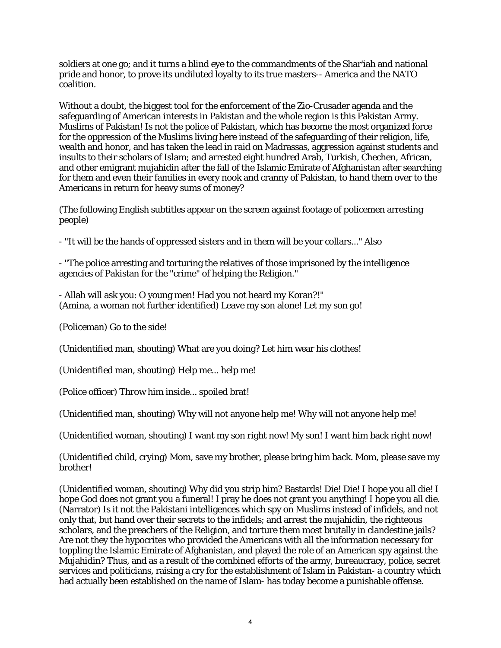soldiers at one go; and it turns a blind eye to the commandments of the Shar'iah and national pride and honor, to prove its undiluted loyalty to its true masters-- America and the NATO coalition.

Without a doubt, the biggest tool for the enforcement of the Zio-Crusader agenda and the safeguarding of American interests in Pakistan and the whole region is this Pakistan Army. Muslims of Pakistan! Is not the police of Pakistan, which has become the most organized force for the oppression of the Muslims living here instead of the safeguarding of their religion, life, wealth and honor, and has taken the lead in raid on Madrassas, aggression against students and insults to their scholars of Islam; and arrested eight hundred Arab, Turkish, Chechen, African, and other emigrant mujahidin after the fall of the Islamic Emirate of Afghanistan after searching for them and even their families in every nook and cranny of Pakistan, to hand them over to the Americans in return for heavy sums of money?

(The following English subtitles appear on the screen against footage of policemen arresting people)

- "It will be the hands of oppressed sisters and in them will be your collars..." Also

- "The police arresting and torturing the relatives of those imprisoned by the intelligence agencies of Pakistan for the "crime" of helping the Religion."

- Allah will ask you: O young men! Had you not heard my Koran?!" (Amina, a woman not further identified) Leave my son alone! Let my son go!

(Policeman) Go to the side!

(Unidentified man, shouting) What are you doing? Let him wear his clothes!

(Unidentified man, shouting) Help me... help me!

(Police officer) Throw him inside... spoiled brat!

(Unidentified man, shouting) Why will not anyone help me! Why will not anyone help me!

(Unidentified woman, shouting) I want my son right now! My son! I want him back right now!

(Unidentified child, crying) Mom, save my brother, please bring him back. Mom, please save my brother!

(Unidentified woman, shouting) Why did you strip him? Bastards! Die! Die! I hope you all die! I hope God does not grant you a funeral! I pray he does not grant you anything! I hope you all die. (Narrator) Is it not the Pakistani intelligences which spy on Muslims instead of infidels, and not only that, but hand over their secrets to the infidels; and arrest the mujahidin, the righteous scholars, and the preachers of the Religion, and torture them most brutally in clandestine jails? Are not they the hypocrites who provided the Americans with all the information necessary for toppling the Islamic Emirate of Afghanistan, and played the role of an American spy against the Mujahidin? Thus, and as a result of the combined efforts of the army, bureaucracy, police, secret services and politicians, raising a cry for the establishment of Islam in Pakistan- a country which had actually been established on the name of Islam- has today become a punishable offense.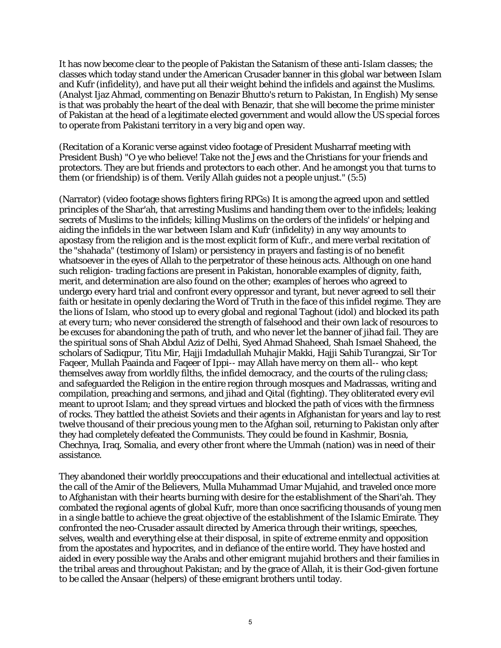It has now become clear to the people of Pakistan the Satanism of these anti-Islam classes; the classes which today stand under the American Crusader banner in this global war between Islam and Kufr (infidelity), and have put all their weight behind the infidels and against the Muslims. (Analyst Ijaz Ahmad, commenting on Benazir Bhutto's return to Pakistan, In English) My sense is that was probably the heart of the deal with Benazir, that she will become the prime minister of Pakistan at the head of a legitimate elected government and would allow the US special forces to operate from Pakistani territory in a very big and open way.

(Recitation of a Koranic verse against video footage of President Musharraf meeting with President Bush) "O ye who believe! Take not the Jews and the Christians for your friends and protectors. They are but friends and protectors to each other. And he amongst you that turns to them (or friendship) is of them. Verily Allah guides not a people unjust." (5:5)

(Narrator) (video footage shows fighters firing RPGs) It is among the agreed upon and settled principles of the Shar'ah, that arresting Muslims and handing them over to the infidels; leaking secrets of Muslims to the infidels; killing Muslims on the orders of the infidels' or helping and aiding the infidels in the war between Islam and Kufr (infidelity) in any way amounts to apostasy from the religion and is the most explicit form of Kufr., and mere verbal recitation of the "shahada" (testimony of Islam) or persistency in prayers and fasting is of no benefit whatsoever in the eyes of Allah to the perpetrator of these heinous acts. Although on one hand such religion- trading factions are present in Pakistan, honorable examples of dignity, faith, merit, and determination are also found on the other; examples of heroes who agreed to undergo every hard trial and confront every oppressor and tyrant, but never agreed to sell their faith or hesitate in openly declaring the Word of Truth in the face of this infidel regime. They are the lions of Islam, who stood up to every global and regional Taghout (idol) and blocked its path at every turn; who never considered the strength of falsehood and their own lack of resources to be excuses for abandoning the path of truth, and who never let the banner of jihad fail. They are the spiritual sons of Shah Abdul Aziz of Delhi, Syed Ahmad Shaheed, Shah Ismael Shaheed, the scholars of Sadiqpur, Titu Mir, Hajji Imdadullah Muhajir Makki, Hajji Sahib Turangzai, Sir Tor Faqeer, Mullah Paainda and Faqeer of Ippi-- may Allah have mercy on them all-- who kept themselves away from worldly filths, the infidel democracy, and the courts of the ruling class; and safeguarded the Religion in the entire region through mosques and Madrassas, writing and compilation, preaching and sermons, and jihad and Qital (fighting). They obliterated every evil meant to uproot Islam; and they spread virtues and blocked the path of vices with the firmness of rocks. They battled the atheist Soviets and their agents in Afghanistan for years and lay to rest twelve thousand of their precious young men to the Afghan soil, returning to Pakistan only after they had completely defeated the Communists. They could be found in Kashmir, Bosnia, Chechnya, Iraq, Somalia, and every other front where the Ummah (nation) was in need of their assistance.

They abandoned their worldly preoccupations and their educational and intellectual activities at the call of the Amir of the Believers, Mulla Muhammad Umar Mujahid, and traveled once more to Afghanistan with their hearts burning with desire for the establishment of the Shari'ah. They combated the regional agents of global Kufr, more than once sacrificing thousands of young men in a single battle to achieve the great objective of the establishment of the Islamic Emirate. They confronted the neo-Crusader assault directed by America through their writings, speeches, selves, wealth and everything else at their disposal, in spite of extreme enmity and opposition from the apostates and hypocrites, and in defiance of the entire world. They have hosted and aided in every possible way the Arabs and other emigrant mujahid brothers and their families in the tribal areas and throughout Pakistan; and by the grace of Allah, it is their God-given fortune to be called the Ansaar (helpers) of these emigrant brothers until today.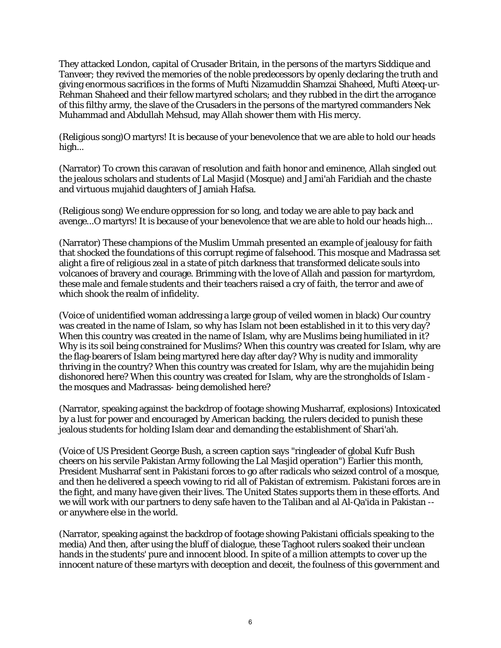They attacked London, capital of Crusader Britain, in the persons of the martyrs Siddique and Tanveer; they revived the memories of the noble predecessors by openly declaring the truth and giving enormous sacrifices in the forms of Mufti Nizamuddin Shamzai Shaheed, Mufti Ateeq-ur-Rehman Shaheed and their fellow martyred scholars; and they rubbed in the dirt the arrogance of this filthy army, the slave of the Crusaders in the persons of the martyred commanders Nek Muhammad and Abdullah Mehsud, may Allah shower them with His mercy.

(Religious song)O martyrs! It is because of your benevolence that we are able to hold our heads high...

(Narrator) To crown this caravan of resolution and faith honor and eminence, Allah singled out the jealous scholars and students of Lal Masjid (Mosque) and Jami'ah Faridiah and the chaste and virtuous mujahid daughters of Jamiah Hafsa.

(Religious song) We endure oppression for so long, and today we are able to pay back and avenge...O martyrs! It is because of your benevolence that we are able to hold our heads high...

(Narrator) These champions of the Muslim Ummah presented an example of jealousy for faith that shocked the foundations of this corrupt regime of falsehood. This mosque and Madrassa set alight a fire of religious zeal in a state of pitch darkness that transformed delicate souls into volcanoes of bravery and courage. Brimming with the love of Allah and passion for martyrdom, these male and female students and their teachers raised a cry of faith, the terror and awe of which shook the realm of infidelity.

(Voice of unidentified woman addressing a large group of veiled women in black) Our country was created in the name of Islam, so why has Islam not been established in it to this very day? When this country was created in the name of Islam, why are Muslims being humiliated in it? Why is its soil being constrained for Muslims? When this country was created for Islam, why are the flag-bearers of Islam being martyred here day after day? Why is nudity and immorality thriving in the country? When this country was created for Islam, why are the mujahidin being dishonored here? When this country was created for Islam, why are the strongholds of Islam the mosques and Madrassas- being demolished here?

(Narrator, speaking against the backdrop of footage showing Musharraf, explosions) Intoxicated by a lust for power and encouraged by American backing, the rulers decided to punish these jealous students for holding Islam dear and demanding the establishment of Shari'ah.

(Voice of US President George Bush, a screen caption says "ringleader of global Kufr Bush cheers on his servile Pakistan Army following the Lal Masjid operation") Earlier this month, President Musharraf sent in Pakistani forces to go after radicals who seized control of a mosque, and then he delivered a speech vowing to rid all of Pakistan of extremism. Pakistani forces are in the fight, and many have given their lives. The United States supports them in these efforts. And we will work with our partners to deny safe haven to the Taliban and al Al-Qa'ida in Pakistan - or anywhere else in the world.

(Narrator, speaking against the backdrop of footage showing Pakistani officials speaking to the media) And then, after using the bluff of dialogue, these Taghoot rulers soaked their unclean hands in the students' pure and innocent blood. In spite of a million attempts to cover up the innocent nature of these martyrs with deception and deceit, the foulness of this government and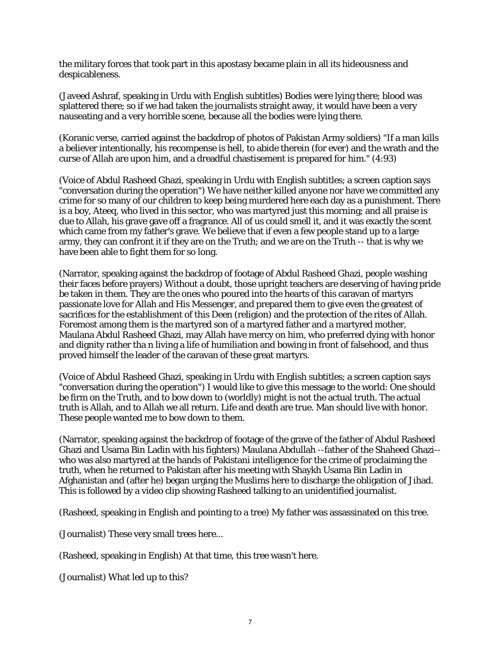the military forces that took part in this apostasy became plain in all its hideousness and despicableness.

(Javeed Ashraf, speaking in Urdu with English subtitles) Bodies were lying there; blood was splattered there; so if we had taken the journalists straight away, it would have been a very nauseating and a very horrible scene, because all the bodies were lying there.

(Koranic verse, carried against the backdrop of photos of Pakistan Army soldiers) "If a man kills a believer intentionally, his recompense is hell, to abide therein (for ever) and the wrath and the curse of Allah are upon him, and a dreadful chastisement is prepared for him." (4:93)

(Voice of Abdul Rasheed Ghazi, speaking in Urdu with English subtitles; a screen caption says "conversation during the operation") We have neither killed anyone nor have we committed any crime for so many of our children to keep being murdered here each day as a punishment. There is a boy, Ateeq, who lived in this sector, who was martyred just this morning; and all praise is due to Allah, his grave gave off a fragrance. All of us could smell it, and it was exactly the scent which came from my father's grave. We believe that if even a few people stand up to a large army, they can confront it if they are on the Truth; and we are on the Truth -- that is why we have been able to fight them for so long.

(Narrator, speaking against the backdrop of footage of Abdul Rasheed Ghazi, people washing their faces before prayers) Without a doubt, those upright teachers are deserving of having pride be taken in them. They are the ones who poured into the hearts of this caravan of martyrs passionate love for Allah and His Messenger, and prepared them to give even the greatest of sacrifices for the establishment of this Deen (religion) and the protection of the rites of Allah. Foremost among them is the martyred son of a martyred father and a martyred mother, Maulana Abdul Rasheed Ghazi, may Allah have mercy on him, who preferred dying with honor and dignity rather tha n living a life of humiliation and bowing in front of falsehood, and thus proved himself the leader of the caravan of these great martyrs.

(Voice of Abdul Rasheed Ghazi, speaking in Urdu with English subtitles; a screen caption says "conversation during the operation") I would like to give this message to the world: One should be firm on the Truth, and to bow down to (worldly) might is not the actual truth. The actual truth is Allah, and to Allah we all return. Life and death are true. Man should live with honor. These people wanted me to bow down to them.

(Narrator, speaking against the backdrop of footage of the grave of the father of Abdul Rasheed Ghazi and Usama Bin Ladin with his fighters) Maulana Abdullah --father of the Shaheed Ghazi- who was also martyred at the hands of Pakistani intelligence for the crime of proclaiming the truth, when he returned to Pakistan after his meeting with Shaykh Usama Bin Ladin in Afghanistan and (after he) began urging the Muslims here to discharge the obligation of Jihad. This is followed by a video clip showing Rasheed talking to an unidentified journalist.

(Rasheed, speaking in English and pointing to a tree) My father was assassinated on this tree.

(Journalist) These very small trees here...

(Rasheed, speaking in English) At that time, this tree wasn't here.

(Journalist) What led up to this?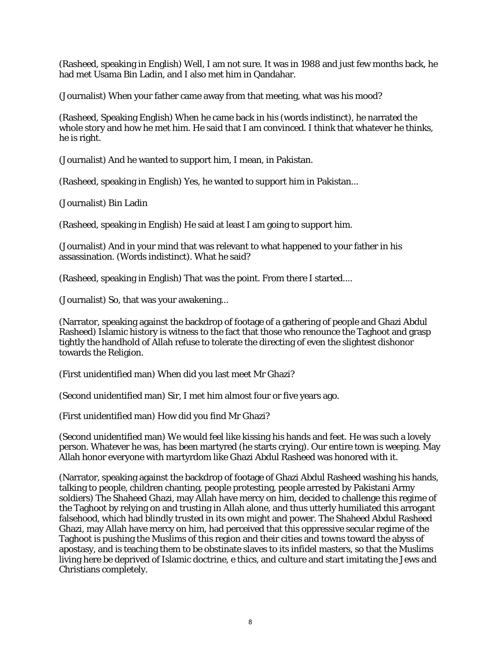(Rasheed, speaking in English) Well, I am not sure. It was in 1988 and just few months back, he had met Usama Bin Ladin, and I also met him in Qandahar.

(Journalist) When your father came away from that meeting, what was his mood?

(Rasheed, Speaking English) When he came back in his (words indistinct), he narrated the whole story and how he met him. He said that I am convinced. I think that whatever he thinks, he is right.

(Journalist) And he wanted to support him, I mean, in Pakistan.

(Rasheed, speaking in English) Yes, he wanted to support him in Pakistan...

(Journalist) Bin Ladin

(Rasheed, speaking in English) He said at least I am going to support him.

(Journalist) And in your mind that was relevant to what happened to your father in his assassination. (Words indistinct). What he said?

(Rasheed, speaking in English) That was the point. From there I started....

(Journalist) So, that was your awakening...

(Narrator, speaking against the backdrop of footage of a gathering of people and Ghazi Abdul Rasheed) Islamic history is witness to the fact that those who renounce the Taghoot and grasp tightly the handhold of Allah refuse to tolerate the directing of even the slightest dishonor towards the Religion.

(First unidentified man) When did you last meet Mr Ghazi?

(Second unidentified man) Sir, I met him almost four or five years ago.

(First unidentified man) How did you find Mr Ghazi?

(Second unidentified man) We would feel like kissing his hands and feet. He was such a lovely person. Whatever he was, has been martyred (he starts crying). Our entire town is weeping. May Allah honor everyone with martyrdom like Ghazi Abdul Rasheed was honored with it.

(Narrator, speaking against the backdrop of footage of Ghazi Abdul Rasheed washing his hands, talking to people, children chanting, people protesting, people arrested by Pakistani Army soldiers) The Shaheed Ghazi, may Allah have mercy on him, decided to challenge this regime of the Taghoot by relying on and trusting in Allah alone, and thus utterly humiliated this arrogant falsehood, which had blindly trusted in its own might and power. The Shaheed Abdul Rasheed Ghazi, may Allah have mercy on him, had perceived that this oppressive secular regime of the Taghoot is pushing the Muslims of this region and their cities and towns toward the abyss of apostasy, and is teaching them to be obstinate slaves to its infidel masters, so that the Muslims living here be deprived of Islamic doctrine, e thics, and culture and start imitating the Jews and Christians completely.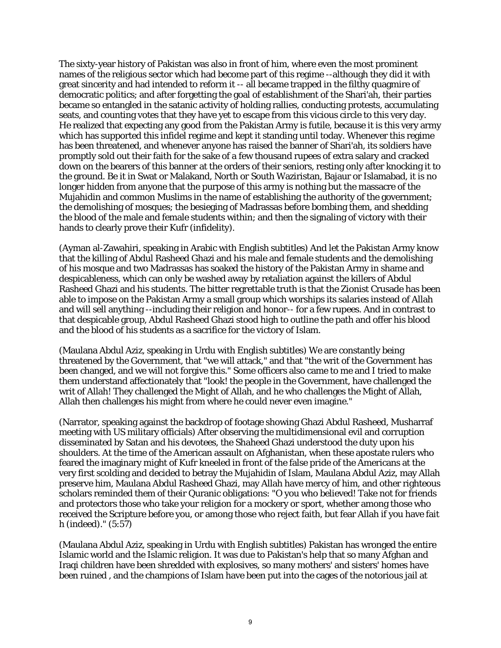The sixty-year history of Pakistan was also in front of him, where even the most prominent names of the religious sector which had become part of this regime --although they did it with great sincerity and had intended to reform it -- all became trapped in the filthy quagmire of democratic politics; and after forgetting the goal of establishment of the Shari'ah, their parties became so entangled in the satanic activity of holding rallies, conducting protests, accumulating seats, and counting votes that they have yet to escape from this vicious circle to this very day. He realized that expecting any good from the Pakistan Army is futile, because it is this very army which has supported this infidel regime and kept it standing until today. Whenever this regime has been threatened, and whenever anyone has raised the banner of Shari'ah, its soldiers have promptly sold out their faith for the sake of a few thousand rupees of extra salary and cracked down on the bearers of this banner at the orders of their seniors, resting only after knocking it to the ground. Be it in Swat or Malakand, North or South Waziristan, Bajaur or Islamabad, it is no longer hidden from anyone that the purpose of this army is nothing but the massacre of the Mujahidin and common Muslims in the name of establishing the authority of the government; the demolishing of mosques; the besieging of Madrassas before bombing them, and shedding the blood of the male and female students within; and then the signaling of victory with their hands to clearly prove their Kufr (infidelity).

(Ayman al-Zawahiri, speaking in Arabic with English subtitles) And let the Pakistan Army know that the killing of Abdul Rasheed Ghazi and his male and female students and the demolishing of his mosque and two Madrassas has soaked the history of the Pakistan Army in shame and despicableness, which can only be washed away by retaliation against the killers of Abdul Rasheed Ghazi and his students. The bitter regrettable truth is that the Zionist Crusade has been able to impose on the Pakistan Army a small group which worships its salaries instead of Allah and will sell anything --including their religion and honor-- for a few rupees. And in contrast to that despicable group, Abdul Rasheed Ghazi stood high to outline the path and offer his blood and the blood of his students as a sacrifice for the victory of Islam.

(Maulana Abdul Aziz, speaking in Urdu with English subtitles) We are constantly being threatened by the Government, that "we will attack," and that "the writ of the Government has been changed, and we will not forgive this." Some officers also came to me and I tried to make them understand affectionately that "look! the people in the Government, have challenged the writ of Allah! They challenged the Might of Allah, and he who challenges the Might of Allah, Allah then challenges his might from where he could never even imagine."

(Narrator, speaking against the backdrop of footage showing Ghazi Abdul Rasheed, Musharraf meeting with US military officials) After observing the multidimensional evil and corruption disseminated by Satan and his devotees, the Shaheed Ghazi understood the duty upon his shoulders. At the time of the American assault on Afghanistan, when these apostate rulers who feared the imaginary might of Kufr kneeled in front of the false pride of the Americans at the very first scolding and decided to betray the Mujahidin of Islam, Maulana Abdul Aziz, may Allah preserve him, Maulana Abdul Rasheed Ghazi, may Allah have mercy of him, and other righteous scholars reminded them of their Quranic obligations: "O you who believed! Take not for friends and protectors those who take your religion for a mockery or sport, whether among those who received the Scripture before you, or among those who reject faith, but fear Allah if you have fait h (indeed)." (5:57)

(Maulana Abdul Aziz, speaking in Urdu with English subtitles) Pakistan has wronged the entire Islamic world and the Islamic religion. It was due to Pakistan's help that so many Afghan and Iraqi children have been shredded with explosives, so many mothers' and sisters' homes have been ruined , and the champions of Islam have been put into the cages of the notorious jail at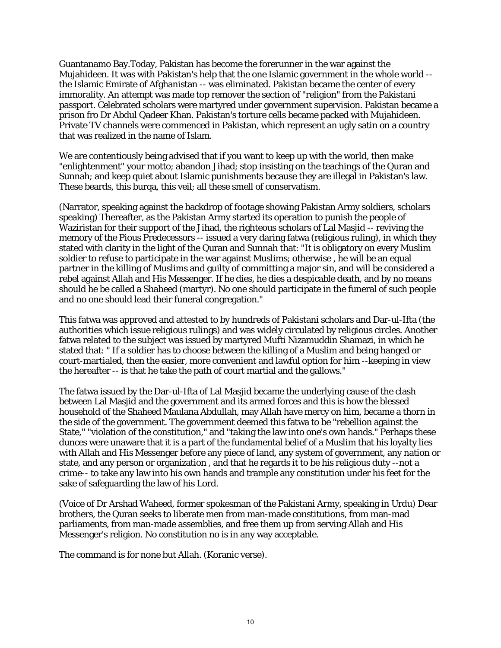Guantanamo Bay.Today, Pakistan has become the forerunner in the war against the Mujahideen. It was with Pakistan's help that the one Islamic government in the whole world - the Islamic Emirate of Afghanistan -- was eliminated. Pakistan became the center of every immorality. An attempt was made top remover the section of "religion" from the Pakistani passport. Celebrated scholars were martyred under government supervision. Pakistan became a prison fro Dr Abdul Qadeer Khan. Pakistan's torture cells became packed with Mujahideen. Private TV channels were commenced in Pakistan, which represent an ugly satin on a country that was realized in the name of Islam.

We are contentiously being advised that if you want to keep up with the world, then make "enlightenment" your motto; abandon Jihad; stop insisting on the teachings of the Quran and Sunnah; and keep quiet about Islamic punishments because they are illegal in Pakistan's law. These beards, this burqa, this veil; all these smell of conservatism.

(Narrator, speaking against the backdrop of footage showing Pakistan Army soldiers, scholars speaking) Thereafter, as the Pakistan Army started its operation to punish the people of Waziristan for their support of the Jihad, the righteous scholars of Lal Masjid -- reviving the memory of the Pious Predecessors -- issued a very daring fatwa (religious ruling), in which they stated with clarity in the light of the Quran and Sunnah that: "It is obligatory on every Muslim soldier to refuse to participate in the war against Muslims; otherwise , he will be an equal partner in the killing of Muslims and guilty of committing a major sin, and will be considered a rebel against Allah and His Messenger. If he dies, he dies a despicable death, and by no means should he be called a Shaheed (martyr). No one should participate in the funeral of such people and no one should lead their funeral congregation."

This fatwa was approved and attested to by hundreds of Pakistani scholars and Dar-ul-Ifta (the authorities which issue religious rulings) and was widely circulated by religious circles. Another fatwa related to the subject was issued by martyred Mufti Nizamuddin Shamazi, in which he stated that: " If a soldier has to choose between the killing of a Muslim and being hanged or court-martialed, then the easier, more convenient and lawful option for him --keeping in view the hereafter -- is that he take the path of court martial and the gallows."

The fatwa issued by the Dar-ul-Ifta of Lal Masjid became the underlying cause of the clash between Lal Masjid and the government and its armed forces and this is how the blessed household of the Shaheed Maulana Abdullah, may Allah have mercy on him, became a thorn in the side of the government. The government deemed this fatwa to be "rebellion against the State," "violation of the constitution," and "taking the law into one's own hands." Perhaps these dunces were unaware that it is a part of the fundamental belief of a Muslim that his loyalty lies with Allah and His Messenger before any piece of land, any system of government, any nation or state, and any person or organization , and that he regards it to be his religious duty --not a crime-- to take any law into his own hands and trample any constitution under his feet for the sake of safeguarding the law of his Lord.

(Voice of Dr Arshad Waheed, former spokesman of the Pakistani Army, speaking in Urdu) Dear brothers, the Quran seeks to liberate men from man-made constitutions, from man-mad parliaments, from man-made assemblies, and free them up from serving Allah and His Messenger's religion. No constitution no is in any way acceptable.

The command is for none but Allah. (Koranic verse).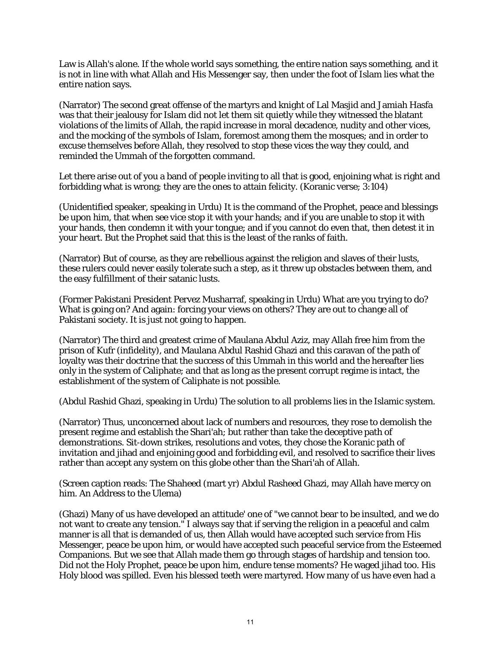Law is Allah's alone. If the whole world says something, the entire nation says something, and it is not in line with what Allah and His Messenger say, then under the foot of Islam lies what the entire nation says.

(Narrator) The second great offense of the martyrs and knight of Lal Masjid and Jamiah Hasfa was that their jealousy for Islam did not let them sit quietly while they witnessed the blatant violations of the limits of Allah, the rapid increase in moral decadence, nudity and other vices, and the mocking of the symbols of Islam, foremost among them the mosques; and in order to excuse themselves before Allah, they resolved to stop these vices the way they could, and reminded the Ummah of the forgotten command.

Let there arise out of you a band of people inviting to all that is good, enjoining what is right and forbidding what is wrong; they are the ones to attain felicity. (Koranic verse; 3:104)

(Unidentified speaker, speaking in Urdu) It is the command of the Prophet, peace and blessings be upon him, that when see vice stop it with your hands; and if you are unable to stop it with your hands, then condemn it with your tongue; and if you cannot do even that, then detest it in your heart. But the Prophet said that this is the least of the ranks of faith.

(Narrator) But of course, as they are rebellious against the religion and slaves of their lusts, these rulers could never easily tolerate such a step, as it threw up obstacles between them, and the easy fulfillment of their satanic lusts.

(Former Pakistani President Pervez Musharraf, speaking in Urdu) What are you trying to do? What is going on? And again: forcing your views on others? They are out to change all of Pakistani society. It is just not going to happen.

(Narrator) The third and greatest crime of Maulana Abdul Aziz, may Allah free him from the prison of Kufr (infidelity), and Maulana Abdul Rashid Ghazi and this caravan of the path of loyalty was their doctrine that the success of this Ummah in this world and the hereafter lies only in the system of Caliphate; and that as long as the present corrupt regime is intact, the establishment of the system of Caliphate is not possible.

(Abdul Rashid Ghazi, speaking in Urdu) The solution to all problems lies in the Islamic system.

(Narrator) Thus, unconcerned about lack of numbers and resources, they rose to demolish the present regime and establish the Shari'ah; but rather than take the deceptive path of demonstrations. Sit-down strikes, resolutions and votes, they chose the Koranic path of invitation and jihad and enjoining good and forbidding evil, and resolved to sacrifice their lives rather than accept any system on this globe other than the Shari'ah of Allah.

(Screen caption reads: The Shaheed (mart yr) Abdul Rasheed Ghazi, may Allah have mercy on him. An Address to the Ulema)

(Ghazi) Many of us have developed an attitude' one of "we cannot bear to be insulted, and we do not want to create any tension." I always say that if serving the religion in a peaceful and calm manner is all that is demanded of us, then Allah would have accepted such service from His Messenger, peace be upon him, or would have accepted such peaceful service from the Esteemed Companions. But we see that Allah made them go through stages of hardship and tension too. Did not the Holy Prophet, peace be upon him, endure tense moments? He waged jihad too. His Holy blood was spilled. Even his blessed teeth were martyred. How many of us have even had a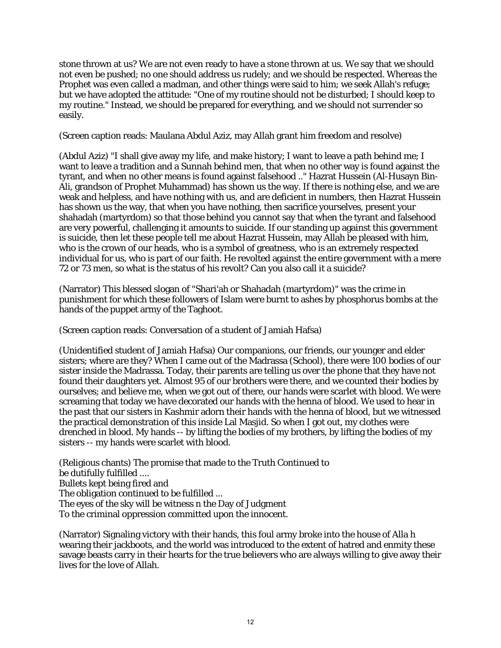stone thrown at us? We are not even ready to have a stone thrown at us. We say that we should not even be pushed; no one should address us rudely; and we should be respected. Whereas the Prophet was even called a madman, and other things were said to him; we seek Allah's refuge; but we have adopted the attitude: "One of my routine should not be disturbed; I should keep to my routine." Instead, we should be prepared for everything, and we should not surrender so easily.

(Screen caption reads: Maulana Abdul Aziz, may Allah grant him freedom and resolve)

(Abdul Aziz) "I shall give away my life, and make history; I want to leave a path behind me; I want to leave a tradition and a Sunnah behind men, that when no other way is found against the tyrant, and when no other means is found against falsehood .." Hazrat Hussein (Al-Husayn Bin-Ali, grandson of Prophet Muhammad) has shown us the way. If there is nothing else, and we are weak and helpless, and have nothing with us, and are deficient in numbers, then Hazrat Hussein has shown us the way, that when you have nothing, then sacrifice yourselves, present your shahadah (martyrdom) so that those behind you cannot say that when the tyrant and falsehood are very powerful, challenging it amounts to suicide. If our standing up against this government is suicide, then let these people tell me about Hazrat Hussein, may Allah be pleased with him, who is the crown of our heads, who is a symbol of greatness, who is an extremely respected individual for us, who is part of our faith. He revolted against the entire government with a mere 72 or 73 men, so what is the status of his revolt? Can you also call it a suicide?

(Narrator) This blessed slogan of "Shari'ah or Shahadah (martyrdom)" was the crime in punishment for which these followers of Islam were burnt to ashes by phosphorus bombs at the hands of the puppet army of the Taghoot.

(Screen caption reads: Conversation of a student of Jamiah Hafsa)

(Unidentified student of Jamiah Hafsa) Our companions, our friends, our younger and elder sisters; where are they? When I came out of the Madrassa (School), there were 100 bodies of our sister inside the Madrassa. Today, their parents are telling us over the phone that they have not found their daughters yet. Almost 95 of our brothers were there, and we counted their bodies by ourselves; and believe me, when we got out of there, our hands were scarlet with blood. We were screaming that today we have decorated our hands with the henna of blood. We used to hear in the past that our sisters in Kashmir adorn their hands with the henna of blood, but we witnessed the practical demonstration of this inside Lal Masjid. So when I got out, my clothes were drenched in blood. My hands -- by lifting the bodies of my brothers, by lifting the bodies of my sisters -- my hands were scarlet with blood.

(Religious chants) The promise that made to the Truth Continued to be dutifully fulfilled .... Bullets kept being fired and The obligation continued to be fulfilled ... The eyes of the sky will be witness n the Day of Judgment To the criminal oppression committed upon the innocent.

(Narrator) Signaling victory with their hands, this foul army broke into the house of Alla h wearing their jackboots, and the world was introduced to the extent of hatred and enmity these savage beasts carry in their hearts for the true believers who are always willing to give away their lives for the love of Allah.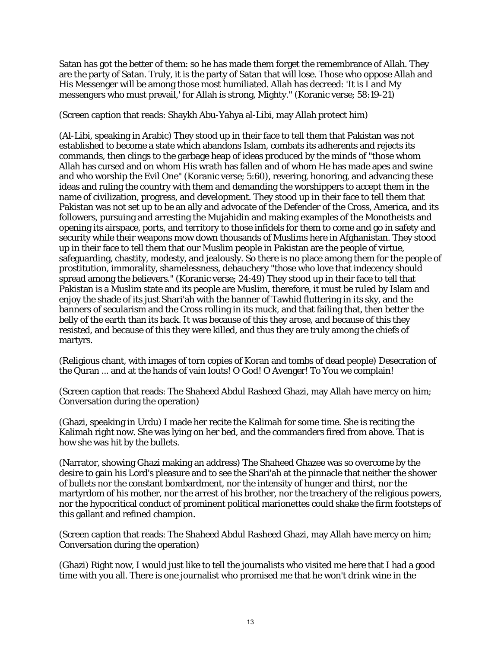Satan has got the better of them: so he has made them forget the remembrance of Allah. They are the party of Satan. Truly, it is the party of Satan that will lose. Those who oppose Allah and His Messenger will be among those most humiliated. Allah has decreed: 'It is I and My messengers who must prevail,' for Allah is strong, Mighty." (Koranic verse; 58:19-21)

(Screen caption that reads: Shaykh Abu-Yahya al-Libi, may Allah protect him)

(Al-Libi, speaking in Arabic) They stood up in their face to tell them that Pakistan was not established to become a state which abandons Islam, combats its adherents and rejects its commands, then clings to the garbage heap of ideas produced by the minds of "those whom Allah has cursed and on whom His wrath has fallen and of whom He has made apes and swine and who worship the Evil One" (Koranic verse; 5:60), revering, honoring, and advancing these ideas and ruling the country with them and demanding the worshippers to accept them in the name of civilization, progress, and development. They stood up in their face to tell them that Pakistan was not set up to be an ally and advocate of the Defender of the Cross, America, and its followers, pursuing and arresting the Mujahidin and making examples of the Monotheists and opening its airspace, ports, and territory to those infidels for them to come and go in safety and security while their weapons mow down thousands of Muslims here in Afghanistan. They stood up in their face to tell them that our Muslim people in Pakistan are the people of virtue, safeguarding, chastity, modesty, and jealously. So there is no place among them for the people of prostitution, immorality, shamelessness, debauchery "those who love that indecency should spread among the believers." (Koranic verse; 24:49) They stood up in their face to tell that Pakistan is a Muslim state and its people are Muslim, therefore, it must be ruled by Islam and enjoy the shade of its just Shari'ah with the banner of Tawhid fluttering in its sky, and the banners of secularism and the Cross rolling in its muck, and that failing that, then better the belly of the earth than its back. It was because of this they arose, and because of this they resisted, and because of this they were killed, and thus they are truly among the chiefs of martyrs.

(Religious chant, with images of torn copies of Koran and tombs of dead people) Desecration of the Quran ... and at the hands of vain louts! O God! O Avenger! To You we complain!

(Screen caption that reads: The Shaheed Abdul Rasheed Ghazi, may Allah have mercy on him; Conversation during the operation)

(Ghazi, speaking in Urdu) I made her recite the Kalimah for some time. She is reciting the Kalimah right now. She was lying on her bed, and the commanders fired from above. That is how she was hit by the bullets.

(Narrator, showing Ghazi making an address) The Shaheed Ghazee was so overcome by the desire to gain his Lord's pleasure and to see the Shari'ah at the pinnacle that neither the shower of bullets nor the constant bombardment, nor the intensity of hunger and thirst, nor the martyrdom of his mother, nor the arrest of his brother, nor the treachery of the religious powers, nor the hypocritical conduct of prominent political marionettes could shake the firm footsteps of this gallant and refined champion.

(Screen caption that reads: The Shaheed Abdul Rasheed Ghazi, may Allah have mercy on him; Conversation during the operation)

(Ghazi) Right now, I would just like to tell the journalists who visited me here that I had a good time with you all. There is one journalist who promised me that he won't drink wine in the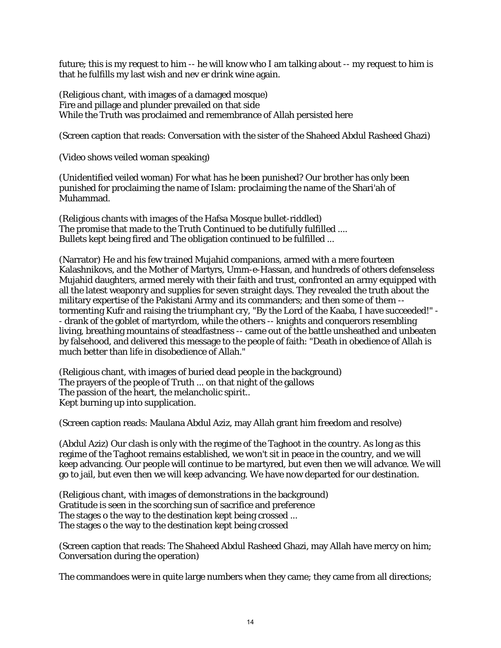future; this is my request to him -- he will know who I am talking about -- my request to him is that he fulfills my last wish and nev er drink wine again.

(Religious chant, with images of a damaged mosque) Fire and pillage and plunder prevailed on that side While the Truth was proclaimed and remembrance of Allah persisted here

(Screen caption that reads: Conversation with the sister of the Shaheed Abdul Rasheed Ghazi)

(Video shows veiled woman speaking)

(Unidentified veiled woman) For what has he been punished? Our brother has only been punished for proclaiming the name of Islam: proclaiming the name of the Shari'ah of Muhammad.

(Religious chants with images of the Hafsa Mosque bullet-riddled) The promise that made to the Truth Continued to be dutifully fulfilled .... Bullets kept being fired and The obligation continued to be fulfilled ...

(Narrator) He and his few trained Mujahid companions, armed with a mere fourteen Kalashnikovs, and the Mother of Martyrs, Umm-e-Hassan, and hundreds of others defenseless Mujahid daughters, armed merely with their faith and trust, confronted an army equipped with all the latest weaponry and supplies for seven straight days. They revealed the truth about the military expertise of the Pakistani Army and its commanders; and then some of them - tormenting Kufr and raising the triumphant cry, "By the Lord of the Kaaba, I have succeeded!" - - drank of the goblet of martyrdom, while the others -- knights and conquerors resembling living, breathing mountains of steadfastness -- came out of the battle unsheathed and unbeaten by falsehood, and delivered this message to the people of faith: "Death in obedience of Allah is much better than life in disobedience of Allah."

(Religious chant, with images of buried dead people in the background) The prayers of the people of Truth ... on that night of the gallows The passion of the heart, the melancholic spirit.. Kept burning up into supplication.

(Screen caption reads: Maulana Abdul Aziz, may Allah grant him freedom and resolve)

(Abdul Aziz) Our clash is only with the regime of the Taghoot in the country. As long as this regime of the Taghoot remains established, we won't sit in peace in the country, and we will keep advancing. Our people will continue to be martyred, but even then we will advance. We will go to jail, but even then we will keep advancing. We have now departed for our destination.

(Religious chant, with images of demonstrations in the background) Gratitude is seen in the scorching sun of sacrifice and preference The stages o the way to the destination kept being crossed ... The stages o the way to the destination kept being crossed

(Screen caption that reads: The Shaheed Abdul Rasheed Ghazi, may Allah have mercy on him; Conversation during the operation)

The commandoes were in quite large numbers when they came; they came from all directions;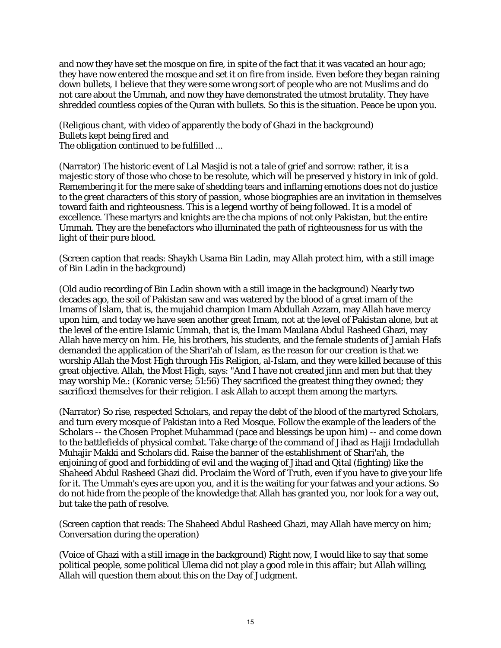and now they have set the mosque on fire, in spite of the fact that it was vacated an hour ago; they have now entered the mosque and set it on fire from inside. Even before they began raining down bullets, I believe that they were some wrong sort of people who are not Muslims and do not care about the Ummah, and now they have demonstrated the utmost brutality. They have shredded countless copies of the Quran with bullets. So this is the situation. Peace be upon you.

(Religious chant, with video of apparently the body of Ghazi in the background) Bullets kept being fired and The obligation continued to be fulfilled ...

(Narrator) The historic event of Lal Masjid is not a tale of grief and sorrow: rather, it is a majestic story of those who chose to be resolute, which will be preserved y history in ink of gold. Remembering it for the mere sake of shedding tears and inflaming emotions does not do justice to the great characters of this story of passion, whose biographies are an invitation in themselves toward faith and righteousness. This is a legend worthy of being followed. It is a model of excellence. These martyrs and knights are the cha mpions of not only Pakistan, but the entire Ummah. They are the benefactors who illuminated the path of righteousness for us with the light of their pure blood.

(Screen caption that reads: Shaykh Usama Bin Ladin, may Allah protect him, with a still image of Bin Ladin in the background)

(Old audio recording of Bin Ladin shown with a still image in the background) Nearly two decades ago, the soil of Pakistan saw and was watered by the blood of a great imam of the Imams of Islam, that is, the mujahid champion Imam Abdullah Azzam, may Allah have mercy upon him, and today we have seen another great Imam, not at the level of Pakistan alone, but at the level of the entire Islamic Ummah, that is, the Imam Maulana Abdul Rasheed Ghazi, may Allah have mercy on him. He, his brothers, his students, and the female students of Jamiah Hafs demanded the application of the Shari'ah of Islam, as the reason for our creation is that we worship Allah the Most High through His Religion, al-Islam, and they were killed because of this great objective. Allah, the Most High, says: "And I have not created jinn and men but that they may worship Me.: (Koranic verse; 51:56) They sacrificed the greatest thing they owned; they sacrificed themselves for their religion. I ask Allah to accept them among the martyrs.

(Narrator) So rise, respected Scholars, and repay the debt of the blood of the martyred Scholars, and turn every mosque of Pakistan into a Red Mosque. Follow the example of the leaders of the Scholars -- the Chosen Prophet Muhammad (pace and blessings be upon him) -- and come down to the battlefields of physical combat. Take charge of the command of Jihad as Hajji Imdadullah Muhajir Makki and Scholars did. Raise the banner of the establishment of Shari'ah, the enjoining of good and forbidding of evil and the waging of Jihad and Qital (fighting) like the Shaheed Abdul Rasheed Ghazi did. Proclaim the Word of Truth, even if you have to give your life for it. The Ummah's eyes are upon you, and it is the waiting for your fatwas and your actions. So do not hide from the people of the knowledge that Allah has granted you, nor look for a way out, but take the path of resolve.

(Screen caption that reads: The Shaheed Abdul Rasheed Ghazi, may Allah have mercy on him; Conversation during the operation)

(Voice of Ghazi with a still image in the background) Right now, I would like to say that some political people, some political Ulema did not play a good role in this affair; but Allah willing, Allah will question them about this on the Day of Judgment.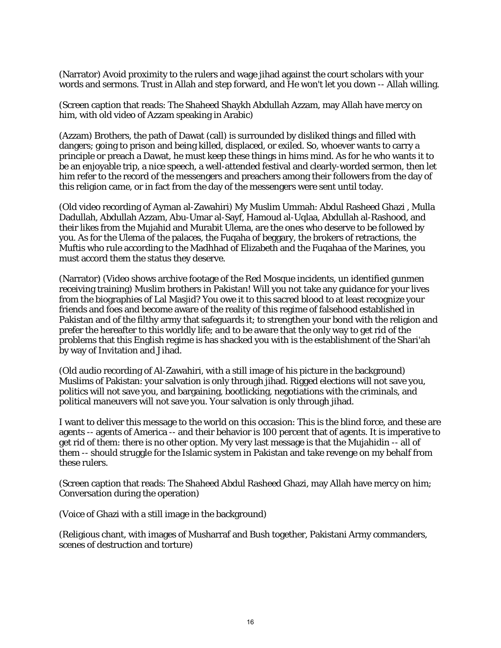(Narrator) Avoid proximity to the rulers and wage jihad against the court scholars with your words and sermons. Trust in Allah and step forward, and He won't let you down -- Allah willing.

(Screen caption that reads: The Shaheed Shaykh Abdullah Azzam, may Allah have mercy on him, with old video of Azzam speaking in Arabic)

(Azzam) Brothers, the path of Dawat (call) is surrounded by disliked things and filled with dangers; going to prison and being killed, displaced, or exiled. So, whoever wants to carry a principle or preach a Dawat, he must keep these things in hims mind. As for he who wants it to be an enjoyable trip, a nice speech, a well-attended festival and clearly-worded sermon, then let him refer to the record of the messengers and preachers among their followers from the day of this religion came, or in fact from the day of the messengers were sent until today.

(Old video recording of Ayman al-Zawahiri) My Muslim Ummah: Abdul Rasheed Ghazi , Mulla Dadullah, Abdullah Azzam, Abu-Umar al-Sayf, Hamoud al-Uqlaa, Abdullah al-Rashood, and their likes from the Mujahid and Murabit Ulema, are the ones who deserve to be followed by you. As for the Ulema of the palaces, the Fuqaha of beggary, the brokers of retractions, the Muftis who rule according to the Madhhad of Elizabeth and the Fuqahaa of the Marines, you must accord them the status they deserve.

(Narrator) (Video shows archive footage of the Red Mosque incidents, un identified gunmen receiving training) Muslim brothers in Pakistan! Will you not take any guidance for your lives from the biographies of Lal Masjid? You owe it to this sacred blood to at least recognize your friends and foes and become aware of the reality of this regime of falsehood established in Pakistan and of the filthy army that safeguards it; to strengthen your bond with the religion and prefer the hereafter to this worldly life; and to be aware that the only way to get rid of the problems that this English regime is has shacked you with is the establishment of the Shari'ah by way of Invitation and Jihad.

(Old audio recording of Al-Zawahiri, with a still image of his picture in the background) Muslims of Pakistan: your salvation is only through jihad. Rigged elections will not save you, politics will not save you, and bargaining, bootlicking, negotiations with the criminals, and political maneuvers will not save you. Your salvation is only through jihad.

I want to deliver this message to the world on this occasion: This is the blind force, and these are agents -- agents of America -- and their behavior is 100 percent that of agents. It is imperative to get rid of them: there is no other option. My very last message is that the Mujahidin -- all of them -- should struggle for the Islamic system in Pakistan and take revenge on my behalf from these rulers.

(Screen caption that reads: The Shaheed Abdul Rasheed Ghazi, may Allah have mercy on him; Conversation during the operation)

(Voice of Ghazi with a still image in the background)

(Religious chant, with images of Musharraf and Bush together, Pakistani Army commanders, scenes of destruction and torture)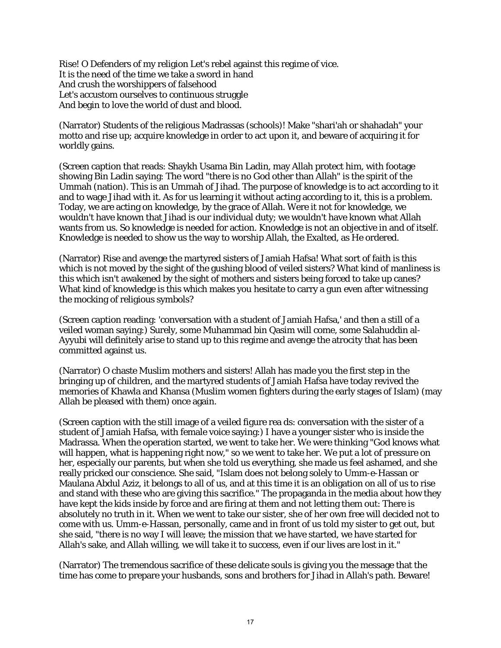Rise! O Defenders of my religion Let's rebel against this regime of vice. It is the need of the time we take a sword in hand And crush the worshippers of falsehood Let's accustom ourselves to continuous struggle And begin to love the world of dust and blood.

(Narrator) Students of the religious Madrassas (schools)! Make "shari'ah or shahadah" your motto and rise up; acquire knowledge in order to act upon it, and beware of acquiring it for worldly gains.

(Screen caption that reads: Shaykh Usama Bin Ladin, may Allah protect him, with footage showing Bin Ladin saying: The word "there is no God other than Allah" is the spirit of the Ummah (nation). This is an Ummah of Jihad. The purpose of knowledge is to act according to it and to wage Jihad with it. As for us learning it without acting according to it, this is a problem. Today, we are acting on knowledge, by the grace of Allah. Were it not for knowledge, we wouldn't have known that Jihad is our individual duty; we wouldn't have known what Allah wants from us. So knowledge is needed for action. Knowledge is not an objective in and of itself. Knowledge is needed to show us the way to worship Allah, the Exalted, as He ordered.

(Narrator) Rise and avenge the martyred sisters of Jamiah Hafsa! What sort of faith is this which is not moved by the sight of the gushing blood of veiled sisters? What kind of manliness is this which isn't awakened by the sight of mothers and sisters being forced to take up canes? What kind of knowledge is this which makes you hesitate to carry a gun even after witnessing the mocking of religious symbols?

(Screen caption reading: 'conversation with a student of Jamiah Hafsa,' and then a still of a veiled woman saying:) Surely, some Muhammad bin Qasim will come, some Salahuddin al-Ayyubi will definitely arise to stand up to this regime and avenge the atrocity that has been committed against us.

(Narrator) O chaste Muslim mothers and sisters! Allah has made you the first step in the bringing up of children, and the martyred students of Jamiah Hafsa have today revived the memories of Khawla and Khansa (Muslim women fighters during the early stages of Islam) (may Allah be pleased with them) once again.

(Screen caption with the still image of a veiled figure rea ds: conversation with the sister of a student of Jamiah Hafsa, with female voice saying:) I have a younger sister who is inside the Madrassa. When the operation started, we went to take her. We were thinking "God knows what will happen, what is happening right now," so we went to take her. We put a lot of pressure on her, especially our parents, but when she told us everything, she made us feel ashamed, and she really pricked our conscience. She said, "Islam does not belong solely to Umm-e-Hassan or Maulana Abdul Aziz, it belongs to all of us, and at this time it is an obligation on all of us to rise and stand with these who are giving this sacrifice." The propaganda in the media about how they have kept the kids inside by force and are firing at them and not letting them out: There is absolutely no truth in it. When we went to take our sister, she of her own free will decided not to come with us. Umm-e-Hassan, personally, came and in front of us told my sister to get out, but she said, "there is no way I will leave; the mission that we have started, we have started for Allah's sake, and Allah willing, we will take it to success, even if our lives are lost in it."

(Narrator) The tremendous sacrifice of these delicate souls is giving you the message that the time has come to prepare your husbands, sons and brothers for Jihad in Allah's path. Beware!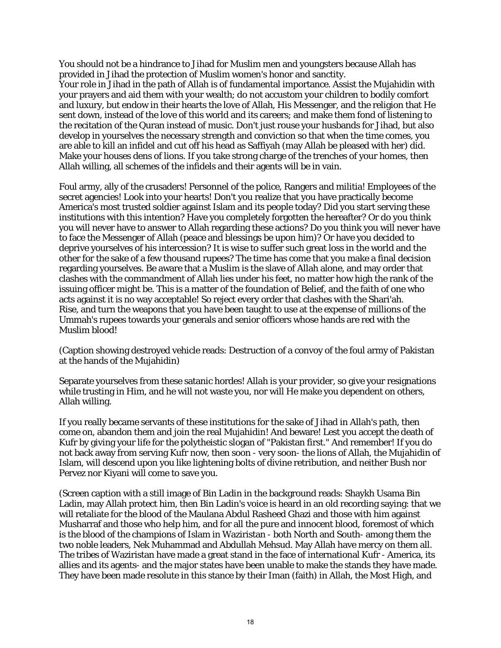You should not be a hindrance to Jihad for Muslim men and youngsters because Allah has provided in Jihad the protection of Muslim women's honor and sanctity.

Your role in Jihad in the path of Allah is of fundamental importance. Assist the Mujahidin with your prayers and aid them with your wealth; do not accustom your children to bodily comfort and luxury, but endow in their hearts the love of Allah, His Messenger, and the religion that He sent down, instead of the love of this world and its careers; and make them fond of listening to the recitation of the Quran instead of music. Don't just rouse your husbands for Jihad, but also develop in yourselves the necessary strength and conviction so that when the time comes, you are able to kill an infidel and cut off his head as Saffiyah (may Allah be pleased with her) did. Make your houses dens of lions. If you take strong charge of the trenches of your homes, then Allah willing, all schemes of the infidels and their agents will be in vain.

Foul army, ally of the crusaders! Personnel of the police, Rangers and militia! Employees of the secret agencies! Look into your hearts! Don't you realize that you have practically become America's most trusted soldier against Islam and its people today? Did you start serving these institutions with this intention? Have you completely forgotten the hereafter? Or do you think you will never have to answer to Allah regarding these actions? Do you think you will never have to face the Messenger of Allah (peace and blessings be upon him)? Or have you decided to deprive yourselves of his intercession? It is wise to suffer such great loss in the world and the other for the sake of a few thousand rupees? The time has come that you make a final decision regarding yourselves. Be aware that a Muslim is the slave of Allah alone, and may order that clashes with the commandment of Allah lies under his feet, no matter how high the rank of the issuing officer might be. This is a matter of the foundation of Belief, and the faith of one who acts against it is no way acceptable! So reject every order that clashes with the Shari'ah. Rise, and turn the weapons that you have been taught to use at the expense of millions of the Ummah's rupees towards your generals and senior officers whose hands are red with the Muslim blood!

(Caption showing destroyed vehicle reads: Destruction of a convoy of the foul army of Pakistan at the hands of the Mujahidin)

Separate yourselves from these satanic hordes! Allah is your provider, so give your resignations while trusting in Him, and he will not waste you, nor will He make you dependent on others, Allah willing.

If you really became servants of these institutions for the sake of Jihad in Allah's path, then come on, abandon them and join the real Mujahidin! And beware! Lest you accept the death of Kufr by giving your life for the polytheistic slogan of "Pakistan first." And remember! If you do not back away from serving Kufr now, then soon - very soon- the lions of Allah, the Mujahidin of Islam, will descend upon you like lightening bolts of divine retribution, and neither Bush nor Pervez nor Kiyani will come to save you.

(Screen caption with a still image of Bin Ladin in the background reads: Shaykh Usama Bin Ladin, may Allah protect him, then Bin Ladin's voice is heard in an old recording saying: that we will retaliate for the blood of the Maulana Abdul Rasheed Ghazi and those with him against Musharraf and those who help him, and for all the pure and innocent blood, foremost of which is the blood of the champions of Islam in Waziristan - both North and South- among them the two noble leaders, Nek Muhammad and Abdullah Mehsud. May Allah have mercy on them all. The tribes of Waziristan have made a great stand in the face of international Kufr - America, its allies and its agents- and the major states have been unable to make the stands they have made. They have been made resolute in this stance by their Iman (faith) in Allah, the Most High, and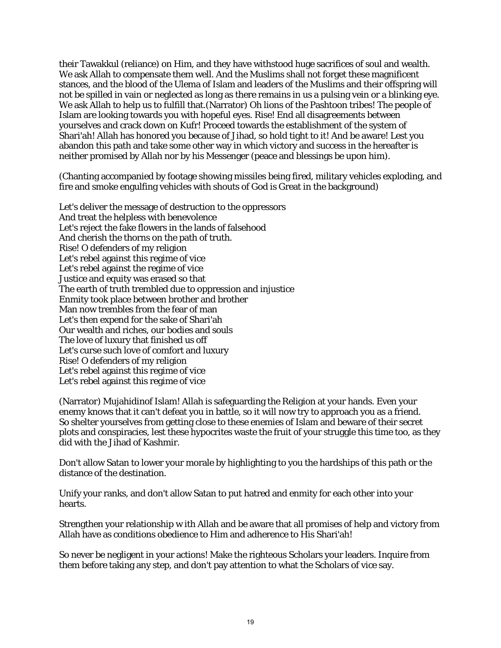their Tawakkul (reliance) on Him, and they have withstood huge sacrifices of soul and wealth. We ask Allah to compensate them well. And the Muslims shall not forget these magnificent stances, and the blood of the Ulema of Islam and leaders of the Muslims and their offspring will not be spilled in vain or neglected as long as there remains in us a pulsing vein or a blinking eye. We ask Allah to help us to fulfill that.(Narrator) Oh lions of the Pashtoon tribes! The people of Islam are looking towards you with hopeful eyes. Rise! End all disagreements between yourselves and crack down on Kufr! Proceed towards the establishment of the system of Shari'ah! Allah has honored you because of Jihad, so hold tight to it! And be aware! Lest you abandon this path and take some other way in which victory and success in the hereafter is neither promised by Allah nor by his Messenger (peace and blessings be upon him).

(Chanting accompanied by footage showing missiles being fired, military vehicles exploding, and fire and smoke engulfing vehicles with shouts of God is Great in the background)

Let's deliver the message of destruction to the oppressors And treat the helpless with benevolence Let's reject the fake flowers in the lands of falsehood And cherish the thorns on the path of truth. Rise! O defenders of my religion Let's rebel against this regime of vice Let's rebel against the regime of vice Justice and equity was erased so that The earth of truth trembled due to oppression and injustice Enmity took place between brother and brother Man now trembles from the fear of man Let's then expend for the sake of Shari'ah Our wealth and riches, our bodies and souls The love of luxury that finished us off Let's curse such love of comfort and luxury Rise! O defenders of my religion Let's rebel against this regime of vice Let's rebel against this regime of vice

(Narrator) Mujahidinof Islam! Allah is safeguarding the Religion at your hands. Even your enemy knows that it can't defeat you in battle, so it will now try to approach you as a friend. So shelter yourselves from getting close to these enemies of Islam and beware of their secret plots and conspiracies, lest these hypocrites waste the fruit of your struggle this time too, as they did with the Jihad of Kashmir.

Don't allow Satan to lower your morale by highlighting to you the hardships of this path or the distance of the destination.

Unify your ranks, and don't allow Satan to put hatred and enmity for each other into your hearts.

Strengthen your relationship w ith Allah and be aware that all promises of help and victory from Allah have as conditions obedience to Him and adherence to His Shari'ah!

So never be negligent in your actions! Make the righteous Scholars your leaders. Inquire from them before taking any step, and don't pay attention to what the Scholars of vice say.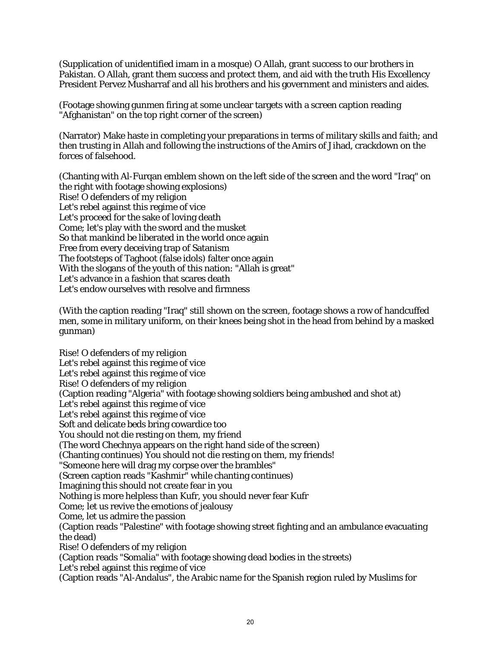(Supplication of unidentified imam in a mosque) O Allah, grant success to our brothers in Pakistan. O Allah, grant them success and protect them, and aid with the truth His Excellency President Pervez Musharraf and all his brothers and his government and ministers and aides.

(Footage showing gunmen firing at some unclear targets with a screen caption reading "Afghanistan" on the top right corner of the screen)

(Narrator) Make haste in completing your preparations in terms of military skills and faith; and then trusting in Allah and following the instructions of the Amirs of Jihad, crackdown on the forces of falsehood.

(Chanting with Al-Furqan emblem shown on the left side of the screen and the word "Iraq" on the right with footage showing explosions) Rise! O defenders of my religion Let's rebel against this regime of vice Let's proceed for the sake of loving death Come; let's play with the sword and the musket So that mankind be liberated in the world once again Free from every deceiving trap of Satanism The footsteps of Taghoot (false idols) falter once again With the slogans of the youth of this nation: "Allah is great" Let's advance in a fashion that scares death Let's endow ourselves with resolve and firmness

(With the caption reading "Iraq" still shown on the screen, footage shows a row of handcuffed men, some in military uniform, on their knees being shot in the head from behind by a masked gunman)

Rise! O defenders of my religion Let's rebel against this regime of vice Let's rebel against this regime of vice Rise! O defenders of my religion (Caption reading "Algeria" with footage showing soldiers being ambushed and shot at) Let's rebel against this regime of vice Let's rebel against this regime of vice Soft and delicate beds bring cowardice too You should not die resting on them, my friend (The word Chechnya appears on the right hand side of the screen) (Chanting continues) You should not die resting on them, my friends! "Someone here will drag my corpse over the brambles" (Screen caption reads "Kashmir" while chanting continues) Imagining this should not create fear in you Nothing is more helpless than Kufr, you should never fear Kufr Come; let us revive the emotions of jealousy Come, let us admire the passion (Caption reads "Palestine" with footage showing street fighting and an ambulance evacuating the dead) Rise! O defenders of my religion (Caption reads "Somalia" with footage showing dead bodies in the streets) Let's rebel against this regime of vice (Caption reads "Al-Andalus", the Arabic name for the Spanish region ruled by Muslims for